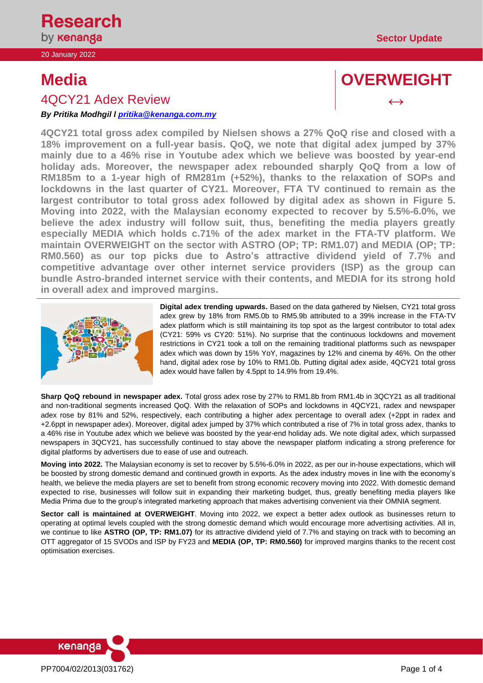20 January 2022

## 4QCY21 Adex Review **↔**

### *By Pritika Modhgil l [pritika@kenanga.com.my](mailto:pritika@kenanga.com.my)*

**4QCY21 total gross adex compiled by Nielsen shows a 27% QoQ rise and closed with a 18% improvement on a full-year basis. QoQ, we note that digital adex jumped by 37% mainly due to a 46% rise in Youtube adex which we believe was boosted by year-end holiday ads. Moreover, the newspaper adex rebounded sharply QoQ from a low of RM185m to a 1-year high of RM281m (+52%), thanks to the relaxation of SOPs and lockdowns in the last quarter of CY21. Moreover, FTA TV continued to remain as the largest contributor to total gross adex followed by digital adex as shown in Figure 5. Moving into 2022, with the Malaysian economy expected to recover by 5.5%-6.0%, we believe the adex industry will follow suit, thus, benefiting the media players greatly especially MEDIA which holds c.71% of the adex market in the FTA-TV platform. We maintain OVERWEIGHT on the sector with ASTRO (OP; TP: RM1.07) and MEDIA (OP; TP: RM0.560) as our top picks due to Astro's attractive dividend yield of 7.7% and competitive advantage over other internet service providers (ISP) as the group can bundle Astro-branded internet service with their contents, and MEDIA for its strong hold in overall adex and improved margins.** 



**Digital adex trending upwards.** Based on the data gathered by Nielsen, CY21 total gross adex grew by 18% from RM5.0b to RM5.9b attributed to a 39% increase in the FTA-TV adex platform which is still maintaining its top spot as the largest contributor to total adex (CY21: 59% vs CY20: 51%). No surprise that the continuous lockdowns and movement restrictions in CY21 took a toll on the remaining traditional platforms such as newspaper adex which was down by 15% YoY, magazines by 12% and cinema by 46%. On the other hand, digital adex rose by 10% to RM1.0b. Putting digital adex aside, 4QCY21 total gross adex would have fallen by 4.5ppt to 14.9% from 19.4%.

**Sharp QoQ rebound in newspaper adex.** Total gross adex rose by 27% to RM1.8b from RM1.4b in 3QCY21 as all traditional and non-traditional segments increased QoQ. With the relaxation of SOPs and lockdowns in 4QCY21, radex and newspaper adex rose by 81% and 52%, respectively, each contributing a higher adex percentage to overall adex (+2ppt in radex and +2.6ppt in newspaper adex). Moreover, digital adex jumped by 37% which contributed a rise of 7% in total gross adex, thanks to a 46% rise in Youtube adex which we believe was boosted by the year-end holiday ads. We note digital adex, which surpassed newspapers in 3QCY21, has successfully continued to stay above the newspaper platform indicating a strong preference for digital platforms by advertisers due to ease of use and outreach.

**Moving into 2022.** The Malaysian economy is set to recover by 5.5%-6.0% in 2022, as per our in-house expectations, which will be boosted by strong domestic demand and continued growth in exports. As the adex industry moves in line with the economy's health, we believe the media players are set to benefit from strong economic recovery moving into 2022. With domestic demand expected to rise, businesses will follow suit in expanding their marketing budget, thus, greatly benefiting media players like Media Prima due to the group's integrated marketing approach that makes advertising convenient via their OMNIA segment.

**Sector call is maintained at OVERWEIGHT**. Moving into 2022, we expect a better adex outlook as businesses return to operating at optimal levels coupled with the strong domestic demand which would encourage more advertising activities. All in, we continue to like **ASTRO (OP, TP: RM1.07)** for its attractive dividend yield of 7.7% and staying on track with to becoming an OTT aggregator of 15 SVODs and ISP by FY23 and **MEDIA (OP, TP: RM0.560)** for improved margins thanks to the recent cost optimisation exercises.



# **Media CONFIDENTIAL CONFIDENT**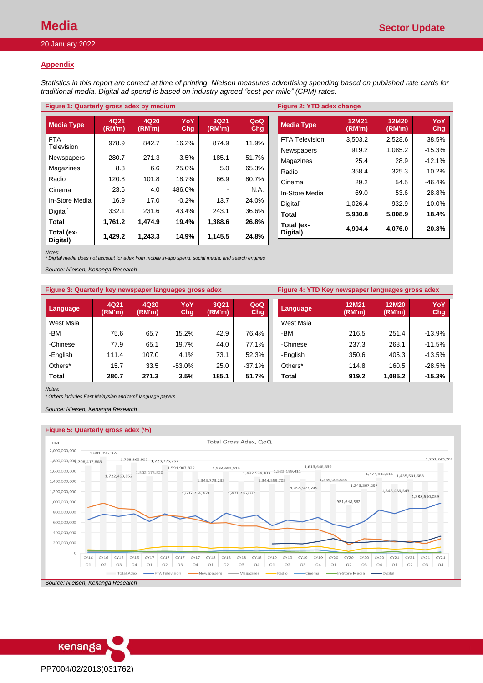#### 20 January 2022

#### **Appendix**

*Statistics in this report are correct at time of printing. Nielsen measures advertising spending based on published rate cards for traditional media. Digital ad spend is based on industry agreed "cost-per-mille" (CPM) rates.*

| Figure 1: Quarterly gross adex by medium |                |                |            | Figure 2: YTD adex change |            |                       |                 |                 |                   |  |  |
|------------------------------------------|----------------|----------------|------------|---------------------------|------------|-----------------------|-----------------|-----------------|-------------------|--|--|
| <b>Media Type</b>                        | 4Q21<br>(RM'm) | 4Q20<br>(RM'm) | YoY<br>Chg | 3Q21<br>(RM'm)            | QoQ<br>Chg | <b>Media Type</b>     | 12M21<br>(RM'm) | 12M20<br>(RM'm) | <b>YoY</b><br>Chg |  |  |
| <b>FTA</b>                               | 978.9          | 842.7          | 16.2%      | 874.9                     | 11.9%      | <b>FTA Television</b> | 3,503.2         | 2,528.6         | 38.5%             |  |  |
| <b>Television</b>                        |                |                |            |                           |            | Newspapers            | 919.2           | 1,085.2         | $-15.3%$          |  |  |
| Newspapers                               | 280.7          | 271.3          | 3.5%       | 185.1                     | 51.7%      | Magazines             | 25.4            | 28.9            | $-12.1%$          |  |  |
| Magazines                                | 8.3            | 6.6            | 25.0%      | 5.0                       | 65.3%      | Radio                 | 358.4           | 325.3           | 10.2%             |  |  |
| Radio                                    | 120.8          | 101.8          | 18.7%      | 66.9                      | 80.7%      | Cinema                | 29.2            | 54.5            | $-46.4%$          |  |  |
| Cinema                                   | 23.6           | 4.0            | 486.0%     |                           | N.A.       | In-Store Media        | 69.0            | 53.6            | 28.8%             |  |  |
| In-Store Media                           | 16.9           | 17.0           | $-0.2%$    | 13.7                      | 24.0%      | Digital <sup>*</sup>  | 1,026.4         | 932.9           | 10.0%             |  |  |
| Digital <sup>*</sup>                     | 332.1          | 231.6          | 43.4%      | 243.1                     | 36.6%      | <b>Total</b>          | 5,930.8         | 5,008.9         | 18.4%             |  |  |
| <b>Total</b>                             | 1.761.2        | 1,474.9        | 19.4%      | 1.388.6                   | 26.8%      | Total (ex-            |                 |                 |                   |  |  |
| Total (ex-<br>Digital)                   | 1,429.2        | 1,243.3        | 14.9%      | 1,145.5                   | 24.8%      | Digital)              | 4,904.4         | 4,076.0         | 20.3%             |  |  |

*Notes: \* Digital media does not account for adex from mobile in-app spend, social media, and search engines* 

*Source: Nielsen, Kenanga Research*

**Figure 3: Quarterly key newspaper languages gross adex Figure 4: YTD Key newspaper languages gross adex**

| Language     | 4Q21<br>(RM'm) | 4Q20<br>(RM'm) | YoY<br>Chg | 3Q21<br>(RM'm) | QoQ<br>Chg | Language     | <b>12M21</b><br>(RM'm) | 12M20<br>(RM'm) | YoY<br>Chg |
|--------------|----------------|----------------|------------|----------------|------------|--------------|------------------------|-----------------|------------|
| West Msia    |                |                |            |                |            | West Msia    |                        |                 |            |
| -BM          | 75.6           | 65.7           | 15.2%      | 42.9           | 76.4%      | -BM          | 216.5                  | 251.4           | $-13.9%$   |
| -Chinese     | 77.9           | 65.1           | 19.7%      | 44.0           | 77.1%      | -Chinese     | 237.3                  | 268.1           | $-11.5%$   |
| -English     | 111.4          | 107.0          | 4.1%       | 73.1           | 52.3%      | -English     | 350.6                  | 405.3           | $-13.5%$   |
| Others*      | 15.7           | 33.5           | $-53.0%$   | 25.0           | $-37.1%$   | Others*      | 114.8                  | 160.5           | $-28.5%$   |
| <b>Total</b> | 280.7          | 271.3          | 3.5%       | 185.1          | 51.7%      | <b>Total</b> | 919.2                  | 1,085.2         | $-15.3%$   |

*Notes:*

*\* Others includes East Malaysian and tamil language papers*

*Source: Nielsen, Kenanga Research*

#### **Figure 5: Quarterly gross adex (%)**



*Source: Nielsen, Kenanga Research*

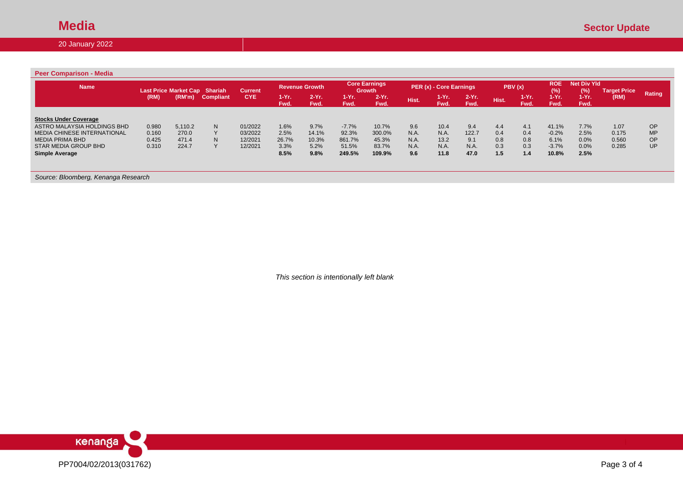20 January 2022

| <b>Peer Comparison - Media</b>      |                               |         |                  |                |                       |                  |                                |                  |                         |                 |                  |        |                  |                   |                 |                                           |           |
|-------------------------------------|-------------------------------|---------|------------------|----------------|-----------------------|------------------|--------------------------------|------------------|-------------------------|-----------------|------------------|--------|------------------|-------------------|-----------------|-------------------------------------------|-----------|
| <b>Name</b>                         | Last Price Market Cap Shariah |         |                  | <b>Current</b> | <b>Revenue Growth</b> |                  | <b>Core Earnings</b><br>Growth |                  | PER (x) - Core Earnings |                 |                  | PBV(x) |                  | <b>ROE</b><br>(%) | (%)             | <b>Net Div Yld</b><br><b>Target Price</b> |           |
|                                     | (RM)                          |         | (RM'm) Compliant | <b>CYE</b>     | $1-Yr.$<br>Fwd.       | $2-Yr$ .<br>Fwd. | $1-Yr$ .<br>Fwd.               | $2-Yr$ .<br>Fwd. | Hist.                   | 1-Yr. .<br>Fwd. | $2-Yr$ .<br>Fwd. | Hist.  | $1-Yr$ .<br>Fwd. | $1-Yr$ .<br>Fwd.  | $1-Yr.$<br>Fwd. | (RM)                                      | Rating    |
| <b>Stocks Under Coverage</b>        |                               |         |                  |                |                       |                  |                                |                  |                         |                 |                  |        |                  |                   |                 |                                           |           |
| ASTRO MALAYSIA HOLDINGS BHD         | 0.980                         | 5,110.2 | N                | 01/2022        | 1.6%                  | 9.7%             | $-7.7%$                        | 10.7%            | 9.6                     | 10.4            | 9.4              | 4.4    | 4.1              | 41.1%             | 7.7%            | 1.07                                      | OP        |
| <b>MEDIA CHINESE INTERNATIONAL</b>  | 0.160                         | 270.0   |                  | 03/2022        | 2.5%                  | 14.1%            | 92.3%                          | 300.0%           | N.A.                    | N.A.            | 122.7            | 0.4    | 0.4              | $-0.2%$           | 2.5%            | 0.175                                     | <b>MP</b> |
| <b>MEDIA PRIMA BHD</b>              | 0.425                         | 471.4   | N                | 12/2021        | 26.7%                 | 10.3%            | 861.7%                         | 45.3%            | N.A.                    | 13.2            | 9.1              | 0.8    | 0.8              | 6.1%              | 0.0%            | 0.560                                     | OP        |
| STAR MEDIA GROUP BHD                | 0.310                         | 224.7   |                  | 12/2021        | 3.3%                  | 5.2%             | 51.5%                          | 83.7%            | <b>N.A.</b>             | N.A.            | N.A.             | 0.3    | 0.3              | $-3.7%$           | 0.0%            | 0.285                                     | <b>UP</b> |
| <b>Simple Average</b>               |                               |         |                  |                | 8.5%                  | 9.8%             | 249.5%                         | 109.9%           | 9.6                     | 11.8            | 47.0             | 1.5    | 1.4              | 10.8%             | 2.5%            |                                           |           |
|                                     |                               |         |                  |                |                       |                  |                                |                  |                         |                 |                  |        |                  |                   |                 |                                           |           |
| Source: Bloomberg, Kenanga Research |                               |         |                  |                |                       |                  |                                |                  |                         |                 |                  |        |                  |                   |                 |                                           |           |

*This section is intentionally left blank*